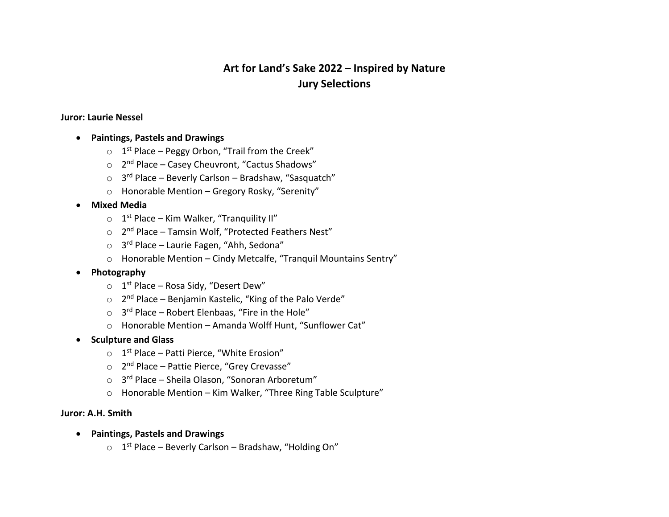# **Art for Land's Sake 2022 – Inspired by Nature Jury Selections**

#### **Juror: Laurie Nessel**

- **Paintings, Pastels and Drawings**
	- $\circ$  1<sup>st</sup> Place Peggy Orbon, "Trail from the Creek"
	- $\circ$  2<sup>nd</sup> Place Casey Cheuvront, "Cactus Shadows"
	- $\circ$  3<sup>rd</sup> Place Beverly Carlson Bradshaw, "Sasquatch"
	- o Honorable Mention Gregory Rosky, "Serenity"

## • **Mixed Media**

- $\circ$  1<sup>st</sup> Place Kim Walker, "Tranquility II"
- $\circ$  2<sup>nd</sup> Place Tamsin Wolf, "Protected Feathers Nest"
- $\circ$  3<sup>rd</sup> Place Laurie Fagen, "Ahh, Sedona"
- o Honorable Mention Cindy Metcalfe, "Tranquil Mountains Sentry"
- **Photography**
	- $\circ$  1<sup>st</sup> Place Rosa Sidy, "Desert Dew"
	- $\circ$  2<sup>nd</sup> Place Benjamin Kastelic, "King of the Palo Verde"
	- $\circ$  3<sup>rd</sup> Place Robert Elenbaas, "Fire in the Hole"
	- o Honorable Mention Amanda Wolff Hunt, "Sunflower Cat"
- **Sculpture and Glass**
	- $\circ$  1<sup>st</sup> Place Patti Pierce, "White Erosion"
	- o 2nd Place Pattie Pierce, "Grey Crevasse"
	- $\circ$  3<sup>rd</sup> Place Sheila Olason, "Sonoran Arboretum"
	- o Honorable Mention Kim Walker, "Three Ring Table Sculpture"

### **Juror: A.H. Smith**

- **Paintings, Pastels and Drawings**
	- $O$  1<sup>st</sup> Place Beverly Carlson Bradshaw, "Holding On"